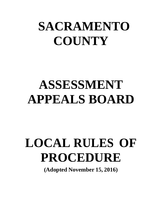# **SACRAMENTO COUNTY**

# **ASSESSMENT APPEALS BOARD**

# **LOCAL RULES OF PROCEDURE**

**(Adopted November 15, 2016)**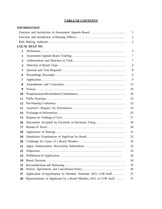#### **TABLEOFCONTENTS**

#### **INFORMATION**

|                         |                                                                   | $\mathbf{1}$   |
|-------------------------|-------------------------------------------------------------------|----------------|
|                         |                                                                   | $\overline{2}$ |
|                         |                                                                   | 3              |
|                         | <b>LOCAL RULE NO.</b>                                             |                |
| $\mathbf{1}$            |                                                                   | 3              |
| $\boldsymbol{2}$        |                                                                   | $\tau$         |
| 3                       |                                                                   | 7              |
| $\overline{\mathbf{4}}$ |                                                                   | 8              |
| 5                       |                                                                   | 8              |
| 6                       |                                                                   | 9              |
| 7                       |                                                                   | 9              |
| 8                       |                                                                   | 15             |
| 9                       |                                                                   | 16             |
| 10                      |                                                                   | 18             |
| 11                      |                                                                   | 22             |
| 12                      |                                                                   | 23             |
| 13                      |                                                                   | 24             |
| 14                      |                                                                   | 25             |
| 15                      |                                                                   | 27             |
| 16                      | Documents Accepted by Facsimile or Electronic Filing              | 29             |
| 17                      |                                                                   | 30             |
| 18                      |                                                                   | 31             |
| 19                      |                                                                   | 32             |
| 20                      |                                                                   | 32             |
| 21                      |                                                                   | 33             |
| 22                      |                                                                   | 34             |
| 23                      |                                                                   | 34             |
| 24                      |                                                                   | 34             |
| 25                      |                                                                   | 35             |
| 26                      |                                                                   | 36             |
| 27                      | Application of Equalization by Member, Alternate, H/O, COB Staff  | 37             |
| 28                      | Representation of Applicants by a Board Member; H/O, or COB Staff | 37             |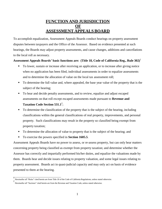## **FUNCTION AND JURISDICTION OF ASSESSMENT APPEALS BOARD**

To accomplish equalization, Assessment Appeals Boards conduct hearings on property assessment disputes between taxpayers and the Office of the Assessor. Based on evidence presented at such hearings, the Boards may adjust property assessments, and cause changes, additions and cancellations to the local roll as necessary.

#### **Assessment Appeals Boards' basic functions are: (Title 18, Code of California Reg., Rule 302)**<sup>1</sup>

- To lower, sustain or increase after receiving an application, or to increase after giving notice when no application has been filed, individual assessments in order to equalize assessments and to determine the allocation of value on the local tax assessment roll;
- To determine the full value and, where appealed, the base year value of the property that is the subject of the hearing;
- To hear and decide penalty assessments, and to review, equalize and adjust escaped assessments on that roll except escaped assessments made pursuant to **Revenue and Taxation Code Section 531.1**<sup>2</sup> ;
- To determine the classification of the property that is the subject of the hearing, including classifications within the general classifications of real property, improvements, and personal property. Such classifications may result in the property so classified being exempt from property taxation;
- To determine the allocation of value to property that is the subject of the hearing; and
- To exercise the powers specified in **Section 1605.5**.

Assessment Appeals Boards have no power to assess, or re-assess property, but can only hear matters concerning property being classified as exempt from property taxation; and determine whether the Assessor has correctly and impartially performed his/her duties, and equalize the valuations made by them. Boards hear and decide issues relating to property valuation, and some legal issues relating to property assessment. Boards act in quasi-judicial capacity and may only act on basis of evidence presented to them at the hearing.

<sup>1</sup> Hereinafter all "Rules" cited herein are from Title 18 of the Code of California Regulations, unless stated otherwise. 2

Hereinafter all "Sections" cited herein are from the Revenue and Taxation Code, unless stated otherwise.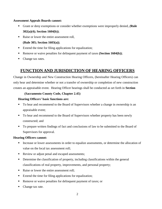#### **Assessment Appeals Boards cannot:**

- Grant or deny exemptions or consider whether exemptions were improperly denied, *(***Rule 302(a)(4); Section 1604(b))**;
- Raise or lower the entire assessment roll,
	- **(Rule 305; Section 1603(a))**;
- Extend the time for filing applications for equalization;
- Remove or waive penalties for delinquent payment of taxes **(Section 1604(b))**;
- Change tax rates.

## **FUNCTION AND JURISDICTION OF HEARING OFFICERS**

Change in Ownership and New Construction Hearing Officers, (hereinafter Hearing Officers) can only hear and determine whether or not a transfer of ownership or completion of new construction creates an appraisable event. Hearing Officer hearings shall be conducted as set forth in **Section**

#### **(Sacramento County Code, Chapter 2.45)**

#### **Hearing Officers' basic functions are:**

- To hear and recommend to the Board of Supervisors whether a change in ownership is an appraisable event;
- To hear and recommend to the Board of Supervisors whether property has been newly constructed; and
- To prepare written findings of fact and conclusions of law to be submitted to the Board of Supervisors for approval.

#### **Hearing Officers cannot:**

- **Increase or lower assessments in order to equalize assessments, or determine the allocation of** value on the local tax assessment roll;
- Review or adjust penal and escaped assessments;
- Determine the classification of property, including classifications within the general classifications of real property, improvements, and personal property;
- Raise or lower the entire assessment roll;
- Extend the time for filing applications for equalization;
- Remove or waive penalties for delinquent payment of taxes; or
- Change tax rate.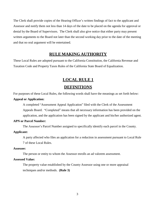The Clerk shall provide copies of the Hearing Officer's written findings of fact to the applicant and Assessor and notify them not less than 14 days of the date to be placed on the agenda for approval or denial by the Board of Supervisors. The Clerk shall also give notice that either party may present written arguments to the Board not later than the second working day prior to the date of the meeting and that no oral argument will be entertained.

## **RULE MAKING AUTHORITY**

These Local Rules are adopted pursuant to the California Constitution, the California Revenue and Taxation Code and Property Taxes Rules of the California State Board of Equalization.

## **LOCAL RULE 1**

## **DEFINITIONS**

For purposes of these Local Rules, the following words shall have the meanings as set forth below:

#### **Appeal or Application:**

A completed "Assessment Appeal Application" filed with the Clerk of the Assessment Appeals Board. "Completed" means that all necessary information has been provided on the application, and the application has been signed by the applicant and his/her authorized agent.

#### **APN or Parcel Number:**

The Assessor's Parcel Number assigned to specifically identify each parcel in the County.

#### **Applicant:**

A party affected who files an application for a reduction in assessment pursuant to Local Rule

7 of these Local Rules.

#### **Assessee:**

The person or entity to whom the Assessor enrolls an ad valorem assessment.

#### **Assessed Value:**

The property value established by the County Assessor using one or more appraisal techniques and/or methods. **(Rule 3)**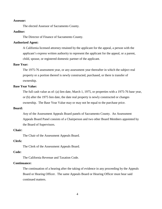#### **Assessor:**

The elected Assessor of Sacramento County.

#### **Auditor:**

The Director of Finance of Sacramento County.

#### **Authorized Agent:**

A California licensed attorney retained by the applicant for the appeal, a person with the applicant's express written authority to represent the applicant for the appeal, or a parent, child, spouse, or registered domestic partner of the applicant.

#### **Base Year:**

The 1975-76 assessment year, or any assessment year thereafter in which the subject real property or a portion thereof is newly constructed, purchased, or there is transfer of ownership.

#### **Base Year Value:**

The full cash value as of: (a) lien date, March 1, 1975, or properties with a 1975-76 base year, or (b) after the 1975 lien date, the date real property is newly constructed or changes ownership. The Base Year Value may or may not be equal to the purchase price.

#### **Board:**

Any of the Assessment Appeals Board panels of Sacramento County. An Assessment Appeals Board Panel consists of a Chairperson and two other Board Members appointed by the Board of Supervisors.

#### **Chair:**

The Chair of the Assessment Appeals Board.

#### **Clerk:**

The Clerk of the Assessment Appeals Board.

#### **Code:**

The California Revenue and Taxation Code.

#### **Continuance:**

The continuation of a hearing after the taking of evidence in any proceeding by the Appeals Board or Hearing Officer. The same Appeals Board or Hearing Officer must hear said continued matters.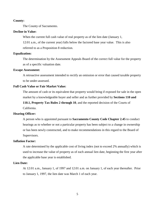#### **County:**

The County of Sacramento.

#### **Decline in Value:**

When the current full cash value of real property as of the lien date (January 1,

12:01 a.m., of the current year) falls below the factored base year value. This is also referred to as a Proposition 8 reduction.

#### **Equalization:**

The determination by the Assessment Appeals Board of the correct full value for the property as of a specific valuation date.

#### **Escape Assessment:**

A retroactive assessment intended to rectify an omission or error that caused taxable property to be under-assessed.

#### **Full Cash Value or Fair Market Value:**

The amount of cash or its equivalent that property would bring if exposed for sale in the open market by a knowledgeable buyer and seller and as further provided by **Sections 110 and**

**110.1, Property Tax Rules 2 through 10**, and the reported decision of the Courts of California.

#### **Hearing Officer:**

A person who is appointed pursuant to **Sacramento County Code Chapter 2.45** to conduct hearings as to whether or not a particular property has been subject to a change in ownership or has been newly constructed, and to make recommendations in this regard to the Board of Supervisors.

#### **Inflation Factor:**

A rate determined by the applicable cost of living index (not to exceed 2% annually) which is used to increase the value of property as of each annual lien date, beginning the first year after the applicable base year is established.

#### **Lien Date:**

At 12:01 a.m., January 1, of 1997 and 12:01 a.m. on January 1, of each year thereafter. Prior to January 1, 1997, the lien date was March 1 of each year.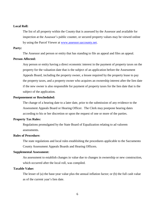#### **Local Roll:**

The list of all property within the County that is assessed by the Assessor and available for inspection at the Assessor's public counter, or secured property values may be viewed online by using the Parcel Viewer at [www.assessor.saccounty.net.](http://www.assessor.saccounty.net/)

#### **Party:**

The Assessor and person or entity that has standing to file an appeal and files an appeal.

#### **Person Affected:**

Any person or entity having a direct economic interest in the payment of property taxes on the property for the valuation date that is the subject of an application before the Assessment Appeals Board, including the property owner, a lessee required by the property lease to pay the property taxes, and a property owner who acquires an ownership interest after the lien date if the new owner is also responsible for payment of property taxes for the lien date that is the subject of the application.

#### **Postponement or Rescheduled:**

The change of a hearing date to a later date, prior to the submission of any evidence to the Assessment Appeals Board or Hearing Officer. The Clerk may postpone hearing dates according to his or her discretion or upon the request of one or more of the parties.

#### **Property Tax Rules:**

Regulations promulgated by the State Board of Equalization relating to ad valorem assessments.

#### **Rules of Procedure:**

The state regulations and local rules establishing the procedures applicable to the Sacramento County Assessment Appeals Boards and Hearing Officers.

#### **Supplemental Assessment:**

An assessment to establish changes in value due to changes in ownership or new construction, which occurred after the local roll, was compiled.

#### **Taxable Value:**

The lesser of (a) the base-year value plus the annual inflation factor; or (b) the full cash value as of the current year's lien date.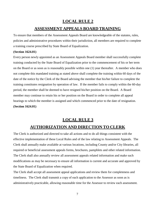# **LOCAL RULE 2 ASSESSMENT APPEALS BOARD TRAINING**

To ensure that members of the Assessment Appeals Board are knowledgeable of the statutes, rules, policies and administrative procedures within their jurisdiction, all members are required to complete a training course prescribed by State Board of Equalization.

#### **(Section 1624.01)**

Every person newly appointed as an Assessment Appeals Board member shall successfully complete training conducted by the State Board of Equalization prior to the commencement of his or her term on the Board or as soon as is reasonably possible within one (1) year thereafter. A member who does not complete this mandated training as stated above shall complete the training within 60 days of the date of the notice by the Clerk of the Board advising the member that his/her failure to complete the training constitutes resignation by operation of law. If the member fails to comply within the 60-day period, the member shall be deemed to have resigned his/her position on the Board. A Board member may continue to retain his or her position on the Board in order to complete all appeal hearings to which the member is assigned and which commenced prior to the date of resignation. **(Section 1624.01)**

## **LOCAL RULE 3**

## **AUTHORIZATION AND DIRECTION TO CLERK**

The Clerk is authorized and directed to take all actions and to do all things consistent with the effective implementation of these Local Rules and of the law relating to Assessment Appeals. The Clerk shall annually make available at various locations, including County and/or City libraries, all required or beneficial assessment appeals forms, brochures, pamphlets and other related information. The Clerk shall also annually review all assessment appeals related information and make such modifications as may be necessary to ensure all information is current and accurate and approved by the State Board of Equalization when required.

The Clerk shall accept all assessment appeal applications and review them for completeness and timeliness. The Clerk shall transmit a copy of each application to the Assessor as soon as is administratively practicable, allowing reasonable time for the Assessor to review each assessment.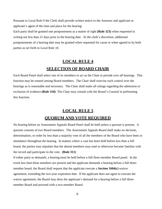Pursuant to Local Rule 9 the Clerk shall provide written notice to the Assessor and applicant or applicant's agent of the time and place for the hearing.

Each party shall be granted one postponement as a matter of right **(Rule 323)** when requested in writing not less than 21 days prior to the hearing date. At the clerk's discretion, additional postponements of a hearing date may be granted when requested for cause or when agreed to by both parties as set forth in Local Rule 10.

# **LOCAL RULE 4 SELECTION OF BOARD CHAIR**

Each Board Panel shall select one of its members to act as the Chair to preside over all hearings. This function may be rotated among Board members. The Chair shall exercise such control over the hearings as is reasonable and necessary. The Chair shall make all rulings regarding the admission or exclusion of evidence.**(Rule 310)** The Chair may consult with the Board's Counsel in performing this function.

## **LOCAL RULE 5**

## **QUORUM AND VOTE REQUIRED**

No hearing before an Assessment Appeals Board Panel shall be held unless a quorum is present. A quorum consists of two Board members. The Assessment Appeals Board shall make no decision, determination, or order by less than a majority vote of all the members of the Board who have been in attendance throughout the hearing. In matters where a case has been held before less than a full board, the parties may stipulate that the absent members may read or otherwise become familiar with the record and participate in the vote. **(Rule 311)**

If either party so demands, a hearing must be held before a full three-member Board panel. In the event less than three members are present and the applicant demands a hearing before a full threemember board, the Board shall request that the applicant execute a **Section 1604(c)** waiver agreement, extending the two-year expiration date. If the applicant does not agree to execute the waiver agreement, the Board may deny the applicant's demand for a hearing before a full threemember Board and proceed with a two-member Board.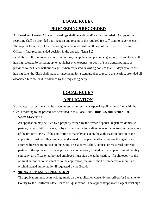# **LOCAL RULE 6 PROCEEDINGSRECORDED**

All Board and Hearing Officer proceedings shall be audio and/or video recorded. A copy of the recording shall be provided upon request and receipt of the required fee sufficient to cover its cost. The request for a copy of the recording must be made within 60 days of the Board or Hearing Officer's final/recommended decision in the appeal. **(Rule 312)** In addition to the audio and/or video recording, an applicant/applicant's agent may choose to have the hearing recorded by a stenographer at his/her own expense. A copy of such transcript must be provided to the Clerk without charge. When requested in writing not less than 10 days prior to the hearing date, the Clerk shall make arrangements for a stenographer to record the hearing, provided all associated fees are paid in advance by the requesting party.

# **LOCAL RULE 7 APPLICATION**

No change in assessment can be made unless an Assessment Appeal Application is filed with the Clerk according to the procedures described in this Local Rule. (**Rule 305 and Section 1603)**

#### **1. WHO MAY FILE**

An application may be filed by a property owner, by the owner's spouse, registered domestic partner, parent, child, or agent, or by any person having a direct economic interest in the payment of the property taxes. If the application is made by an agent, the authorization portion of the application must be fully completed and signed by the person affected unless the agent is an attorney licensed to practice in this State, or is a parent, child, spouse, or registered domestic partner of the applicant. If the applicant is a corporation, limited partnership, or limited liability company, an officer or authorized employee must sign the authorization. If a photocopy of the original authorization is attached to the application, the agent shall be prepared to submit an original signed authorization if requested by the Board.

#### **2. SIGNATURE AND VERIFICATION**

The application must be in writing, made on the application currently prescribed for Sacramento County by the California State Board of Equalization. The applicant/applicant's agent must sign

9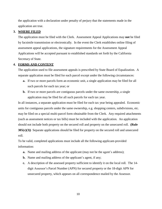the application with a declaration under penalty of perjury that the statements made in the application are true.

#### **3. WHERE FILED**

The application must be filed with the Clerk. Assessment Appeal Applications may **not** be filed by facsimile transmission or electronically. In the event the Clerk establishes online filing of assessment appeal applications, the signature requirements for the Assessment Appeal Applications will be accepted pursuant to established standards set forth by the California Secretary of State.

#### **4. FORMS AND CONTENT**

The application used to file assessment appeals is prescribed by State Board of Equalization. A separate application must be filed for each parcel except under the following circumstances:

- **a.** If two or more parcels form an economic unit, a single application may be filed for all such parcels for each tax year; or
- **b.** If two or more parcels are contiguous parcels under the same ownership, a single application may be filed for all such parcels for each tax year.

In all instances, a separate application must be filed for each tax year being appealed. Economic units for contiguous parcels under the same ownership, e.g. shopping centers, subdivisions, etc. may be filed on a special multi-parcel form obtainable from the Clerk. Any required attachments (such as assessment notices or tax bills) must be included with the application. An application should not include both property on the secured roll and property on the unsecured roll. **(Rule 305(c)(3))** Separate applications should be filed for property on the secured roll and unsecured roll.

To be valid, completed applications must include all the following applicant-provided information:

- **a.** Name and mailing address of the applicant (may not be the agent's address);
- **b.** Name and mailing address of the applicant's agent, if any;
- **c.** A description of the assessed property sufficient to identify it on the local roll. The 14 digit Assessor's Parcel Number (APN) for secured property or the 18-digit APN for unsecured property, which appears on all correspondence mailed by the Assessor.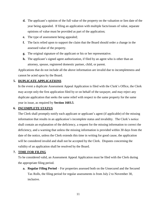- **d.** The applicant's opinion of the full value of the property on the valuation or lien date of the year being appealed. If filing an application with multiple facts/issues of value, separate opinions of value must be provided as part of the application;
- **e.** The type of assessment being appealed;
- **f.** The facts relied upon to support the claim that the Board should order a change in the assessed value of the property.
- **g.** The original signature of the applicant or his or her representative.
- **h.** The applicant's signed agent authorization, if filed by an agent who is other than an attorney, spouse, registered domestic partner, child, or parent.

Applications that do not include all the above information are invalid due to incompleteness and cannot be acted upon by the Board.

#### **5. DUPLICATE APPLICATIONS**

In the event a duplicate Assessment Appeal Application is filed with the Clerk's Office, the Clerk may accept only the first application filed by or on behalf of the taxpayer, and may reject any duplicate application that seeks the same relief with respect to the same property for the same year in issue, as required by **Section 1603.5**.

#### **6. INCOMPLETE STATUS**

The Clerk shall promptly notify each applicant or applicant's agent (if applicable) of the missing information that results in an application's incomplete status and invalidity. The Clerk's notice shall contain an explanation of the deficiency, a request for the missing information to correct the deficiency, and a warning that unless the missing information is provided within 30 days from the date of the notice, unless the Clerk extends this time in writing for good cause, the application will be considered invalid and shall not be accepted by the Clerk. Disputes concerning the validity of an application shall be resolved by the Board.

#### **7. TIME FOR FILING**

To be considered valid, an Assessment Appeal Application must be filed with the Clerk during the appropriate filing period.

**a. Regular Filing Period** – For properties assessed both on the Unsecured and the Secured Tax Rolls, the filing period for regular assessments is from July 2 to November 30, inclusive.

11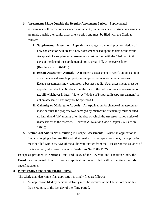- **b. Assessments Made Outside the Regular Assessment Period** Supplemental assessments, roll corrections, escaped assessments, calamities or misfortune assessments are made outside the regular assessment period and must be filed with the Clerk as follows:
	- i. **Supplemental Assessment Appeals** A change in ownership or completion of new construction will create a new assessment based upon the date of the event. An appeal of a supplemental assessment must be filed with the Clerk within 60 days of the date of the supplemental notice or tax bill, whichever is later. (Resolution No. 90-1486)
	- ii. **Escape Assessment Appeals** A retroactive assessment to rectify an omission or error that caused taxable property to escape assessment or be under-assessed. Escape assessments may result from a business audit. Such assessments must be appealed no later than 60 days from the date of the notice of escape assessment or tax bill, whichever is later. (Note: A "Notice of Proposed Escape Assessment" is not an assessment and may not be appealed.)
	- iii. **Calamity or Misfortune Appeals** An Application for change of an assessment made because the property was damaged by misfortune or calamity must be filed no later than 6 (six) months after the date on which the Assessor mailed notice of reassessment to the assessee. (Revenue & Taxation Code, Chapter 2.5, Section 170(c))
- **c. Section 469 Audits Not Resulting in Escape Assessments** Where an application is filed challenging a **Section 469** audit that results in no escape assessment, the application must be filed within 60 days of the audit result notice from the Assessor or the issuance of the tax refund, whichever is later. **(Resolution No. 2000-1187)**

Except as provided in **Sections 1603 and 1605** of the Revenue and Taxation Code, the Board has no jurisdiction to hear an application unless filed within the time periods specified above.

#### **8. DETERMINATION OF TIMELINESS**

The Clerk shall determine if an application is timely filed as follows:

**a.** An application filed by personal delivery must be received at the Clerk's office no later than 5:00 p.m. of the last day of the filing period.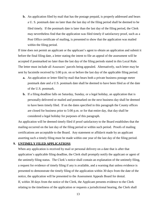**b.** An application filed by mail that has the postage prepaid, is properly addressed and bears a U. S. postmark date no later than the last day of the filing period shall be deemed to be filed timely. If the postmark date is later than the last day of the filing period, the Clerk may nevertheless find that the application was filed timely if satisfactory proof, such as a Post Office certificate of mailing, is presented to show that the application was mailed within the filing period.

If time does not permit an applicant or the applicant's agent to obtain an application and submit it before the final filing date, a letter stating the intent to file an appeal of the assessment will be accepted if postmarked no later than the last day of the filing periods stated in this Local Rule. The letter must include all Assessors' parcels being appealed. Alternatively, such letter may be sent by facsimile received by 5:00 p.m. on or before the last day of the applicable filing period.

- **a.** An application or letter filed by mail that bears both a private business postage meter postmark date and a U.S. postmark date shall be deemed to have been filed as of the date of the U.S. postmark.
- **b.** If a filing deadline falls on Saturday, Sunday, or a legal holiday, an application that is personally delivered or mailed and postmarked on the next business day shall be deemed to have been timely filed. If on the dates specified in this paragraph the County offices are closed for business prior to 5:00 p.m. or for that entire day, that day shall be considered a legal holiday for purposes of this paragraph.

An application will be deemed timely filed if proof satisfactory to the Board establishes that the mailing occurred on the last day of the filing period or within such period. Proofs of mailing certifications are acceptable to the Board. Any statement or affidavit made by an applicant asserting such a timely filing must be made within one year of the last day of the filing period.

#### **9. UNTIMELY FILED APPLICATIONS**

When any application is received by mail or personal delivery on a date that is after that application's applicable filing deadline, the Clerk shall promptly notify the applicant or agent of the untimely filing status. The Clerk's notice shall contain an explanation of the untimely filing, a request for evidence of timely filing if any is available, and a warning that unless evidence is presented to demonstrate the timely filing of the application within 30 days from the date of the notice, the application will be presented to the Assessment Appeals Board for denial. If, within 30 days from the notice of the Clerk, the Applicant presents evidence to the Clerk relating to the timeliness of the application or requests a jurisdictional hearing, the Clerk shall

13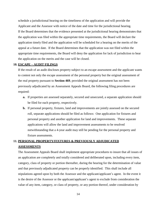schedule a jurisdictional hearing on the timeliness of the application and will provide the Applicant and the Assessor with notice of the date and time for the jurisdictional hearing. If the Board determines that the evidence presented at the jurisdictional hearing demonstrates that the application was filed within the appropriate time requirements, the Board will declare the application timely filed and the application will be scheduled for a hearing on the merits of the appeal at a future date. If the Board determines that the application was not filed within the appropriate time requirements, the Board will deny the application for lack of jurisdiction to hear the application on the merits and the case will be closed.

#### **10. ESCAPE – AUDIT FILINGS**

If the result of an audit discloses property subject to an escape assessment and the applicant wants to contest not only the escape assessment of the personal property but the original assessment of the real property pursuant to **Section 469**, provided the original assessment has not been previously adjudicated by an Assessment Appeals Board, the following filing procedures are required:

- **a.** If properties are assessed separately, secured and unsecured, a separate application should be filed for each property, respectively.
- **b.** If personal property, fixtures, land and improvements are jointly assessed on the secured roll, separate applications should be filed as follows: One application for fixtures and personal property and another application for land and improvements. These separate applications will allow the land and improvement assessments to be resolved notwithstanding that a 4-year audit may still be pending for the personal property and fixture assessments.

## **11. PERSONAL PROPERTY/FIXTURES & PREVIOUSLY ADJUDICATED ASSESSMENTS**

The Assessment Appeals Board shall implement appropriate procedures to insure that all issues of an application are completely and totally considered and deliberated upon, including every item, category, class of property or portion thereafter, during the hearing for the determination of value and that previously adjudicated property can be properly identified. This shall include all stipulations agreed upon by both the Assessor and the applicant/applicant's agent. In the event it is the desire of the Assessor or the applicant/applicant's agent to exclude from consideration the value of any item, category, or class of property, or any portion thereof, under consideration by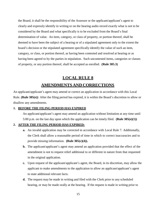the Board, it shall be the responsibility of the Assessor or the applicant/applicant's agent to clearly and expressly identify in writing or on the hearing audio record exactly what is not to be considered by the Board and what specifically is to be excluded from the Board's final determination of value. An item, category, or class of property, or portion thereof, shall be deemed to have been the subject of a hearing or of a stipulated agreement only to the extent the board's decision or the stipulated agreement specifically identify the value of such an item, category, or class, or portion thereof, as having been contested and resolved at hearing or as having been agreed to by the parties in stipulation. Such uncontested items, categories or classes of property, or any portion thereof, shall be accepted as enrolled. **(Rule 305.3)**

# **LOCAL RULE 8 AMENDMENTS AND CORRECTIONS**

An applicant/applicant's agent may amend or correct an application in accordance with this Local Rule. **(Rule 305(e))** After the filing period has expired, it is within the Board's discretion to allow or disallow any amendments.

#### **1. BEFORE THE FILING PERIOD HAS EXPIRED**

An applicant/applicant's agent may amend an application without limitation at any time until 5:00 p.m. on the last day upon which the application can be timely filed. **(Rule 305(e)(1))**

#### **2. AFTER THE FILING PERIOD HAS EXPIRED:**

- **a.** An invalid application may be corrected in accordance with Local Rule 7. Additionally, the Clerk shall allow a reasonable period of time in which to correct inaccuracies and to provide missing information. **(Rule 305(c)(4)).**
- **b.** The applicant/applicant's agent may amend an application provided that the effect of the amendment is not to request relief additional to or different in nature from that requested in the original application.
- **c.** Upon request of the applicant/applicant's agent, the Board, in its discretion, may allow the applicant to make amendments to the application to allow an applicant/applicant's agent to state additional relevant facts.
- **d.** The request may be made in writing and filed with the Clerk prior to any scheduled hearing, or may be made orally at the hearing. If the request is made in writing prior to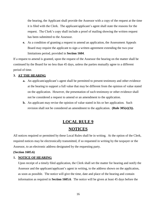the hearing, the Applicant shall provide the Assessor with a copy of the request at the time it is filed with the Clerk. The applicant/applicant's agent shall state the reasons for the request. The Clerk's copy shall include a proof of mailing showing the written request has been submitted to the Assessor.

**e.** As a condition of granting a request to amend an application, the Assessment Appeals Board may require the applicant to sign a written agreement extending the two-year limitations period, provided in **Section 1604**.

If a request to amend is granted, upon the request of the Assessor the hearing on the matter shall be continued by the Board for no less than 45 days, unless the parties mutually agree to a different period of time.

#### **3. AT THE HEARING**

- **a.** An applicant/applicant's agent shall be permitted to present testimony and other evidence at the hearing to support a full value that may be different from the opinion of value stated on the application. However, the presentation of such testimony or other evidence shall not be considered a request to amend or an amendment to the application.
- **b.** An applicant may revise the opinion of value stated in his or her application. Such revision shall not be considered an amendment to the application. **(Rule 305(e)(3)).**

# **LOCAL RULE 9 NOTICES**

All notices required or permitted by these Local Rules shall be in writing. At the option of the Clerk, required notices may be electronically transmitted, if so requested in writing by the taxpayer or the Assessor, to an electronic address designated by the requesting party.

#### **(Section 1605.6)**

#### **1. NOTICE OF HEARING**

Upon receipt of a timely filed application, the Clerk shall set the matter for hearing and notify the Assessor and the applicant/applicant's agent in writing, to the address shown on the application, as soon as possible. The notice will give the time, date and place of the hearing and contain information as required in **Section 1605.6**. The notice will be given at least 45 days before the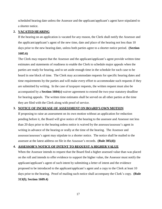scheduled hearing date unless the Assessor and the applicant/applicant's agent have stipulated to a shorter notice.

#### **2. VACATED HEARING**

If the hearing on an application is vacated for any reason, the Clerk shall notify the Assessor and the applicant/applicant's agent of the new time, date and place of the hearing not less than 10 days prior to the new hearing date, unless both parties agree to a shorter notice period. **(Section 1605.6)**

The Clerk may request that the Assessor and the applicant/applicant's agent provide written time estimates and statements of readiness to enable the Clerk to schedule major appeals when the parties are ready for hearing, and to set aside enough time in the schedule for each case to be heard in one block of time. The Clerk may accommodate requests for specific hearing dates and time requirements by the parties and will make every effort to accommodate such requests if they are submitted by writing. In the case of taxpayer requests, the written request must also be accompanied by a **Section 1604(c)** waiver agreement to extend the two-year statutory deadline for hearing appeals. The written time estimates shall be served on all other parties at the time they are filed with the Clerk along with proof of service.

#### **3. NOTICE OF INCREASE OF ASSESSMENT ON BOARD'S OWN MOTION**

If proposing to raise an assessment on its own motion without an application for reduction pending before it, the Board will give notice of the hearing to the assessee and Assessor not less than 20 days prior to the hearing unless notice is waived by the assessee/assessee's agent in writing in advance of the hearing or orally at the time of the hearing. The Assessor and assessee/assessee's agent may stipulate to a shorter notice. The notice shall be mailed to the assessee at the latest address on file in the Assessor's records. **(Rule 305(d))**

#### **4. ASSESSOR'S NOTICE OF INTENT TO REQUEST A HIGHER VALUE**

When the Assessor intends to request that the Board find a higher assessed value than was placed on the roll and intends to offer evidence to support the higher value, the Assessor must notify the applicant/applicant's agent of such intent by submitting a letter of intent and the evidence proposed to be introduced to the applicant/applicant's agent and a copy to the Clerk at least 10 days prior to the hearing. Proof of mailing such notice shall accompany the Clerk's copy. **(Rule 313(f); Section 1609.4)**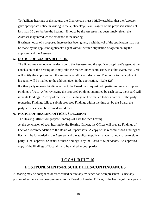To facilitate hearings of this nature, the Chairperson must initially establish that the Assessor gave appropriate notice in writing to the applicant/applicant's agent of the proposed action not less than 10 days before the hearing. If notice by the Assessor has been timely given, the Assessor may introduce the evidence at the hearing.

If written notice of a proposed increase has been given, a withdrawal of the application may not be made by the applicant/applicant's agent without written stipulation of agreement by the applicant and the Assessor.

#### **5. NOTICE OF BOARD'S DECISION**

The Board may announce the decision to the Assessor and the applicant/applicant's agent at the conclusion of the hearing or it may take the matter under submission. In either event, the Clerk will notify the applicant and the Assessor of all Board decisions. The notice to the applicant or his agent will be mailed to the address given in the application. **(Rule 325)**

If either party requests Findings of Fact, the Board may request both parties to prepare proposed Findings of Fact. After reviewing the proposed Findings submitted by each party, the Board will issue its Findings. A copy of the Board's Findings will be mailed to both parties. If the party requesting Findings fails to submit proposed Findings within the time set by the Board, the party's request shall be deemed withdrawn.

#### **6. NOTICE OF HEARING OFFICER'S DECISION**

The Hearing Officer will prepare Findings of Fact for each hearing.

At the conclusion of each hearing by the Hearing Officer, the Officer will prepare Findings of Fact as a recommendation to the Board of Supervisors. A copy of the recommended Findings of Fact will be forwarded to the Assessor and the applicant/applicant's agent at no charge to either party. Final approval or denial of these findings is by the Board of Supervisors. An approved copy of the Findings of Fact will also be mailed to both parties.

## **LOCAL RULE 10**

### **POSTPONEMENTS/RESCHEDULES/CONTINUANCES**

A hearing may be postponed or rescheduled before any evidence has been presented. Once any portion of evidence has been presented to the Board or Hearing Officer, if the hearing of the appeal is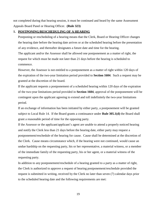not completed during that hearing session, it must be continued and heard by the same Assessment Appeals Board Panel or Hearing Officer. **(Rule 323)**

#### **1. POSTPONING/RESCHEDULING OF A HEARING**

Postponing or rescheduling of a hearing means that the Clerk, Board or Hearing Officer changes the hearing date before the hearing date arrives or at the scheduled hearing before the presentation of any evidence, and thereafter designates a future date and time for the hearing.

The applicant and/or the Assessor shall be allowed one postponement as a matter of right, the request for which must be made not later than 21 days before the hearing is scheduled to commence.

However, the Assessor is not entitled to a postponement as a matter of right within 120 days of the expiration of the two-year limitation period provided to **Section 1604**. Such a request may be granted at the discretion of the board.

If the applicant requests a postponement of a scheduled hearing within 120 days of the expiration of the two-year limitations period provided in **Section 1604**, approval of the postponement will be contingent upon the applicant agreeing to extend and toll indefinitely the two-year limitations period.

If an exchange of information has been initiated by either party, a postponement will be granted subject to Local Rule 14. If the Board grants a continuance under **Rule 305.1(d)** the Board shall grant a reasonable period of time for the opposing party.

If the Assessor or the applicant/applicant's agent are unable to attend a properly noticed hearing and notify the Clerk less than 21 days before the hearing date, either party may request a postponement/reschedule of the hearing for cause. Cause shall be determined at the discretion of the Clerk. Cause means circumstance which, if the hearing were not continued, would cause an undue hardship on the requesting party, his or her representative, a material witness, or a member of the immediate family of the requesting party, his or her agent, or a material witness of the requesting party.

In addition to any postponement/reschedule of a hearing granted to a party as a matter of right, the Clerk is authorized to approve a request of hearing postponement/reschedule provided the request is submitted in writing, received by the Clerk no later than seven (7) calendar days prior to the scheduled hearing date and the following requirements are met:

19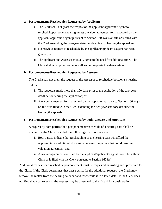#### **a. Postponements/Reschedules Requested by Applicant**

- i. The Clerk shall not grant the request of the applicant/applicant's agent to reschedule/postpone a hearing unless a waiver agreement form executed by the applicant/applicant's agent pursuant to Section  $1604(c)$  is on file or is filed with the Clerk extending the two-year statutory deadline for hearing the appeal and;
- ii. No previous request to reschedule by the applicant/applicant's agent has been granted; or
- iii. The applicant and Assessor mutually agree to the need for additional time. The Clerk shall attempt to reschedule all second requests to a date certain.

#### **b. Postponements/Reschedules Requested by Assessor**

The Clerk shall not grant the request of the Assessor to reschedule/postpone a hearing unless:

- i. The request is made more than 120 days prior to the expiration of the two-year deadline for hearing the application; or
- ii. A waiver agreement form executed by the applicant pursuant to Section 1604(c) is on file or is filed with the Clerk extending the two-year statutory deadline for hearing the appeals.

#### **c. Postponements/Reschedules Requested by both Assessor and Applicant**

A request by both parties for a postponement/reschedule of a hearing date shall be granted by the Clerk provided the following conditions are met.

- i. Both parties indicate that rescheduling of the hearing date will afford the opportunity for additional discussion between the parties that could result in valuation agreement; and
- ii. A waiver agreement executed by the applicant/applicant's agent is on file with the Clerk or is filed with the Clerk pursuant to Section 1604(c).

Additional request for a reschedule/postponement must be requested in writing and presented to the Clerk. If the Clerk determines that cause exists for the additional request, the Clerk may remove the matter from the hearing calendar and reschedule it to a later date. If the Clerk does not find that a cause exists, the request may be presented to the Board for consideration.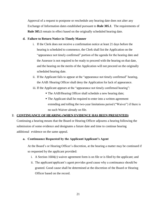Approval of a request to postpone or reschedule any hearing date does not alter any Exchange of Information dates established pursuant to **Rule 305.1**. The requirements of **Rule 305.1** remain in effect based on the originally scheduled hearing date.

#### **d. Failure to Return Notice in Timely Manner**

- i. If the Clerk does not receive a confirmation notice at least 21 days before the hearing is scheduled to commence, the Clerk shall list the Application on the "appearance not timely confirmed" portion of the agenda for the hearing date and the Assessor is not required to be ready to proceed with the hearing on that date, and the hearing on the merits of the Application will not proceed on the originally scheduled hearing date.
- ii. If the Applicant fails to appear at the "appearance not timely confirmed" hearing, the AAB /Hearing Officer shall deny the Application for lack of appearance.
- iii. If the Applicant appears at the "appearance not timely confirmed hearing":
	- The AAB/Hearing Officer shall schedule a new hearing date;
	- The Applicant shall be required to enter into a written agreement extending and tolling the two-year limitations period ("Waiver") if there is no such Waiver already on file.

#### **2. CONTINUANCE OF HEARING (WHEN EVIDENCE HAS BEEN PRESENTED)**

Continuing a hearing means that the Board or Hearing Officer adjourns a hearing following the submission of some evidence and designates a future date and time to continue hearing additional evidence on the same appeal.

#### **a. Continuance Requested by the Applicant/Applicant's Agent**

At the Board's or Hearing Officer's discretion, at the hearing a matter may be continued if so requested by the applicant provided:

- i. A Section 1604(c) waiver agreement form is on file or is filed by the applicant; and
- ii. The applicant/applicant's agent provides good cause why a continuance should be granted. Good cause shall be determined at the discretion of the Board or Hearing Officer based on the record.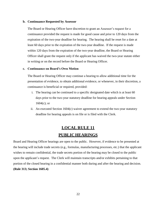#### **b. Continuance Requested by Assessor**

The Board or Hearing Officer have discretion to grant an Assessor's request for a continuance provided the request is made for good cause and prior to 120 days from the expiration of the two-year deadline for hearing. The hearing shall be reset for a date at least 60 days prior to the expiration of the two-year deadline. If the request is made within 120 days from the expiration of the two-year deadline, the Board or Hearing Officer shall grant the request only if the applicant has waived the two-year statute either in writing or on the record before the Board or Hearing Officer.

#### **c. Continuance on Board's Own Motion**

The Board or Hearing Officer may continue a hearing to allow additional time for the presentation of evidence, to obtain additional evidence, or whenever, in their discretion, a continuance is beneficial or required, provided:

- i. The hearing can be continued to a specific designated date which is at least 60 days prior to the two-year statutory deadline for hearing appeals under Section 1604(c); or
- ii. An executed Section 1604(c) waiver agreement to extend the two-year statutory deadline for hearing appeals is on file or is filed with the Clerk.

# **LOCAL RULE 11 PUBLIC HEARINGS**

Board and Hearing Officer hearings are open to the public. However, if evidence to be presented at the hearing will include trade secrets (e.g., formulas, manufacturing processes, etc.) that the applicant wishes to remain confidential, the trade secrets portion of the hearing may be closed to the public upon the applicant's request. The Clerk will maintain transcripts and/or exhibits pertaining to that portion of the closed hearing in a confidential manner both during and after the hearing and decision. **(Rule 313; Section 1605.4)**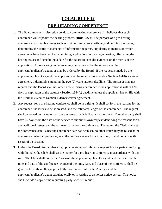# **LOCAL RULE 12 PRE-HEARINGCONFERENCE**

- **1.** The Board may in its discretion conduct a pre-hearing conference if it believes that such conference will expedite the hearing process. **(Rule 305.2)** The purpose of a pre-hearing conference is to resolve issues such as, but not limited to, clarifying and defining the issues, determining the status of exchange of information requests, stipulating to matters on which agreements have been reached, combining applications into a single hearing, bifurcating the hearing issues and scheduling a date for the Board to consider evidence on the merits of the application. A pre-hearing conference may be requested by the Assessor or the applicant/applicant's agent, or may be ordered by the Board. If the request is made by the applicant/applicant's agent, the applicant shall be required to execute a **Section 1604(c)** waiver agreement, indefinitely extending the two (2) year statutory deadline. The Assessor may not request and the Board shall not order a pre-hearing conference if the application is within 120 days of expiration of the statutory **Section 1604(c)** deadline unless the applicant has on file with the Clerk an executed **Section 1604(c)** waiver agreement.
- **2.** Any request for a pre-hearing conference shall be in writing. It shall set forth the reasons for the conference, the issues to be addressed, and the estimated length of the conference. The request shall be served on the other party at the same time it is filed with the Clerk. The other party shall have 15 days from the date of the service to submit its own request identifying the reasons for it, any additional issues, and the estimated time for the conference. Thereafter, the Clerk shall set the conference date. Once the conference date has been set, no other issues may be raised at the conference unless all parties agree at the conference, orally or in writing, to additional specific issues of discussion.
- **3.** Unless the Board directs otherwise, upon receiving a conference request from a party complying with this rule, the Clerk shall set the matter for a pre-hearing conference in accordance with this rule. The Clerk shall notify the Assessor, the applicant/applicant's agent, and the Board of the time and date of the conference. Notice of the time, date, and place of the conference shall be given not less than 30 days prior to the conference unless the Assessor and the applicant/applicant's agent stipulate orally or in writing to a shorter notice period. The notice shall include a copy of the requesting party's written request.

23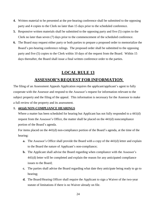- **4.** Written material to be presented at the pre-hearing conference shall be submitted to the opposing party and 4 copies to the Clerk no later than 15 days prior to the scheduled conference.
- **5.** Responsive written materials shall be submitted to the opposing party and five (5) copies to the Clerk no later than seven (7) days prior to the commencement of the scheduled conference.
- **6.** The Board may request either party or both parties to prepare a proposed order to memorialize the Board's pre-hearing conference rulings. The proposed order shall be submitted to the opposing party and five (5) copies to the Clerk within 10 days of the request from the Board. Within 15 days thereafter, the Board shall issue a final written conference order to the parties.

## **LOCAL RULE 13**

## **ASSESSOR'S REQUEST FOR INFORMATION**

The filing of an Assessment Appeals Application requires the applicant/applicant's agent to fully cooperate with the Assessor and respond to the Assessor's request for information relevant to the subject property and the filing of the appeal. This information is necessary for the Assessor to make a full review of the property and its assessment.

#### **1. 441(d) NON-COMPLIANCE HEARINGS**

Where a matter has been scheduled for hearing but Applicant has not fully responded to a 441(d) request from the Assessor's Office, the matter shall be placed on the 441(d) noncompliance portion of the Board's agenda.

For items placed on the 441(d) non-compliance portion of the Board's agenda, at the time of the hearing:

- **a.** The Assessor's Office shall provide the Board with a copy of the 441(d) letter and explain to the Board the nature of Applicant's non-compliance;
- **b.** The Applicant shall advise the Board regarding when compliance with the Assessor's 441(d) letter will be completed and explain the reason for any anticipated compliance issues to the Board;
- **c.** The parties shall advise the Board regarding what date they anticipate being ready to go to hearing;
- **d.** The Board/Hearing Officer shall require the Applicant to sign a Waiver of the two-year statute of limitations if there is no Waiver already on file.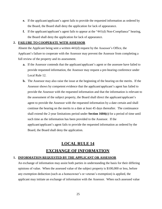- **e.** If the applicant/applicant's agent fails to provide the requested information as ordered by the Board, the Board shall deny the application for lack of appearance.
- **f.** If the applicant/applicant's agent fails to appear at the "441(d) Non-Compliance" hearing, the Board shall deny the application for lack of appearance.

#### **2. FAILURE TO COOPERATE WITH ASSESSOR**

Absent the Applicant being sent a written 441(d) request by the Assessor's Office, the Applicant's failure to cooperate with the Assessor may prevent the Assessor from completing a full review of the property and its assessment.

- **a.** If the Assessor contends that the applicant/applicant's agent or the assessee have failed to provide requested information, the Assessor may request a pre-hearing conference under Local Rule 12.
- **b.** The Assessor may also raise the issue at the beginning of the hearing on the merits. If the Assessor shows by competent evidence that the applicant/applicant's agent has failed to provide the Assessor with the requested information and that the information is relevant to the assessment of the subject property, the Board shall direct the applicant/applicant's agent to provide the Assessor with the requested information by a date certain and shall continue the hearing on the merits to a date at least 45 days thereafter. The continuance shall extend the 2-year limitations period under **Section 1604(c)** for a period of time until such time as the information has been provided to the Assessor. If the applicant/applicant's agent fails to provide the requested information as ordered by the Board, the Board shall deny the application.

# **LOCAL RULE 14 EXCHANGE OF INFORMATION**

#### **1. INFORMATION REQUESTED BY THE APPLICANT OR ASSESSOR**

An exchange of information may assist both parties in understanding the basis for their differing opinions of value. When the assessed value of the subject property is \$100,000 or less, before any exemption deduction (such as a homeowner's or veteran's exemption) is applied, the applicant may initiate an exchange of information with the Assessor. When such assessed value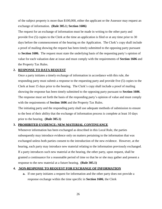of the subject property is more than \$100,000, either the applicant or the Assessor may request an exchange of information. **(Rule 305.1; Section 1606)**

The request for an exchange of information must be made in writing to the other party and provide five (5) copies to the Clerk at the time an application is filed or at any time prior to 30 days before the commencement of the hearing on the Application. The Clerk's copy shall include a proof of mailing showing the request has been timely submitted to the opposing party pursuant to **Section 1606.** The request must state the underlying basis of the requesting party's opinion of value for each valuation date at issue and must comply with the requirements of **Section 1606** and the Property Tax Rules.

#### **2. RESPONSE TO DATA REQUEST**

Once a party initiates a timely exchange of information in accordance with this rule, the responding party must submit a response to the requesting party and provide five (5) copies to the Clerk at least 15 days prior to the hearing. The Clerk's copy shall include a proof of mailing showing the response has been timely submitted to the opposing party pursuant to **Section 1606**. The response must set forth the basis of the responding party's opinion of value and must comply with the requirements of **Section 1606** and the Property Tax Rules.

The initiating party and the responding party shall use adequate methods of submission to ensure to the best of their ability that the exchange of information process is complete at least 10 days prior to the hearing. **(Rule 305.1)**

#### **3. PROHIBITED EVIDENCE; NEW MATERIAL CONTINUANCE**

Whenever information has been exchanged as described in this Local Rule, the parties subsequently may introduce evidence only on matters pertaining to the information that was exchanged unless both parties consent to the introduction of the new evidence. However, at the hearing, each party may introduce new material relating to the information previously exchanged. If a party introduces such new material at the hearing, the other party, upon request, shall be granted a continuance for a reasonable period of time so that he or she may gather and present a response to the new material at a future hearing. **(Rule 305.1)**

#### **4. NON-RESPONSE TO REQUEST FOR EXCHANGE OF INFORMATION**

**a.** If one party initiates a request for information and the other party does not provide a response exchange within the time specific in **Section 1606**, the Clerk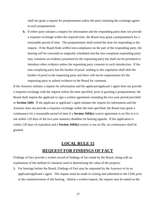shall not grant a request for postponement unless the party initiating the exchange agrees to such postponement.

**b.** If either party initiates a request for information and the responding party does not provide a response exchange within the required time, the Board may grant a postponement for a reasonable period of time. The postponement shall extend the time for responding to the request. If the Board finds willful non-compliance on the part of the responding party, the hearing will be convened as originally scheduled and the non-compliant responding party may comment on evidence presented by the requesting party but shall not be permitted to introduce other evidence unless the requesting party consents to such introduction. If the non-complying party has the burden of proof, nothing in this regulation shall shift the burden of proof to the requesting party and there will not be requirements for the requesting party to submit evidence to the Board for comment.

If the Assessor initiates a request for information and the applicant/applicant's agent does not provide a response exchange with the request within the time specified, prior to granting a postponement, the Board shall require the applicant to sign a written agreement extending the two-year period provided in **Section 1604**. If the applicant or applicant's agent initiates the request for information and the Assessor does not provide a response exchange within the time specified, the Board may grant a continuance for a reasonable period of time if a **Section 1604(c)** waiver agreement is on file or it is not within 120 days of the two-year statutory deadline for hearing appeals. If the application is within 120 days of expiration and a **Section 1604(c)** waiver is not on file, no continuance shall be granted.

# **LOCAL RULE 15 REQUEST FOR FINDINGS OF FACT**

Findings of Fact provide a written record of findings of fact made by the Board, along with an explanation of the method of valuation used in determining the value of the property.

**1.** For hearings before the Board, Findings of Fact may be requested by the Assessor or by an applicant/applicant's agent. The request must be made in writing and submitted to the Clerk prior to the commencement of the hearing. Absent a written request, the request may be stated on the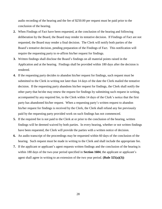audio recording of the hearing and the fee of \$250.00 per request must be paid prior to the conclusion of the hearing.

- **2.** When Findings of Fact have been requested, at the conclusion of the hearing and following deliberation by the Board, the Board may render its tentative decision. If Findings of Fact are not requested, the Board may render a final decision. The Clerk will notify both parties of the Board's tentative decision, pending preparation of the Findings of Fact. This notification will require the requesting party to re-affirm his/her request for findings.
- **3.** Written findings shall disclose the Board's findings on all material points raised in the Application and at the hearing. Findings shall be provided within 180 days after the decision is rendered.
- **4.** If the requesting party decides to abandon his/her request for findings, such request must be submitted to the Clerk in writing not later than 14 days of the date the Clerk mailed the tentative decision. If the requesting party abandons his/her request for findings, the Clerk shall notify the other party that he/she may renew the request for findings by submitting such request in writing, accompanied by any required fee, to the Clerk within 14 days of the Clerk's notice that the first party has abandoned his/her request. When a requesting party's written request to abandon his/her request for findings is received by the Clerk, the Clerk shall refund any fee previously paid by the requesting party provided work on such findings has not commenced.
- **5.** If the required fee is not paid to the Clerk at or prior to the conclusion of the hearing, written findings will be deemed waived by both parties. In every hearing, whether or not written findings have been requested, the Clerk will provide the parties with a written notice of decision.
- **6.** An audio transcript of the proceedings may be requested within 60 days of the conclusion of the hearing. Such request must be made in writing to the Clerk and shall include the appropriate fee.
- **7.** If the applicant or applicant's agent requests written findings and the conclusion of the hearing is within 180 days of the two-year period specified in **Section 1604**, the applicant or applicant's agent shall agree in writing to an extension of the two year period. **(Rule 325(a)(3))**

28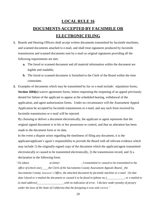# **LOCAL RULE 16 DOCUMENTS ACCEPTED BY FACSIMILE OR ELECTRONIC FILING**

- **1.** Boards and Hearing Officers shall accept written documents transmitted by facsimile machines, and scanned documents attached to e-mail, and shall treat signatures produced by facsimile transmission and scanned documents sent by e-mail as original signatures providing all the following requirements are met.
	- **a.** The faxed or scanned document and all material information within the document are legible and readable;
	- **b.** The faxed or scanned document is furnished to the Clerk of the Board within the time constraints.
- **2.** Examples of documents which may be transmitted by fax or e-mail include: stipulation forms, **Section 1604(c)** waiver agreement forms, letters requesting the reopening of an appeal previously denied for failure of the applicant to appear at the scheduled hearing, withdrawal of the application, and agent authorization forms. Under no circumstance will the Assessment Appeal Application be accepted by facsimile transmission or e-mail, and any such form received by facsimile transmission or e-mail will be rejected.

By choosing to deliver a document electronically, the applicant or agent represents that the original signed document is in his or her possession or control, and that no alteration has been made to the document form or its data.

In the event a dispute arises regarding the timeliness of filing any document, it is the applicant/applicant's agent's responsibility to provide the Board with all relevant evidence which may include 1) the originally-signed copy of the document which the applicant/agent transmitted electronically or caused to be transmitted electronically, 2) the transmission record, and 3) a declaration in the following form:

*"On (date) at (time) , I transmitted or caused to be transmitted to the office of (check one) the Clerk of the Sacramento County Assessment Appeals Board, the Sacramento County Assessor's Office, the attached document by facsimile machine or e-mail. On that date I faxed or e-mailed the document or caused it to be faxed to (phone no.) , or e-mailed to (e-mail address) \_with no indication of error. I declare under penalty of perjury under the laws of the State of California that the foregoing is true and correct."*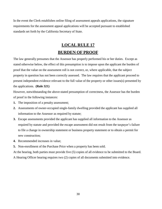In the event the Clerk establishes online filing of assessment appeals applications, the signature requirements for the assessment appeal applications will be accepted pursuant to established standards set forth by the California Secretary of State.

# **LOCAL RULE 17 BURDEN OF PROOF**

The law generally presumes that the Assessor has properly performed his or her duties. Except as stated otherwise below, the effect of this presumption is to impose upon the applicant the burden of proof that the value on the assessment roll is not correct, or, where applicable, that the subject property in question has not been correctly assessed. The law requires that the applicant proceed to present independent evidence relevant to the full value of the property or other issues(s) presented by the applications. **(Rule 321)**

However, notwithstanding the above-stated presumption of correctness, the Assessor has the burden of proof in the following instances:

- **1.** The imposition of a penalty assessment;
- **2.** Assessments of owner-occupied single-family dwelling provided the applicant has supplied all information to the Assessor as required by statute;
- **3.** Escape assessments provided the applicant has supplied all information to the Assessor as required by statute and provided the escape assessment did not result from the taxpayer's failure to file a change in ownership statement or business property statement or to obtain a permit for new construction;
- **4.** Recommended increases in value;
- **5.** Non-enrollment of the Purchase Price when a property has been sold.

At the hearing, both parties must provide five (5) copies of all evidence to be submitted to the Board. A Hearing Officer hearing requires two (2) copies of all documents submitted into evidence.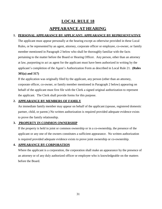# **LOCAL RULE 18 APPEARANCE AT HEARING**

#### **1. PERSONAL APPEARANCE BY APPLICANT; APPEARANCE BY REPRESENTATIVE**

The applicant must appear personally at the hearing except as otherwise provided in these Local Rules, or be represented by an agent, attorney, corporate officer or employee, co-owner, or family member mentioned in Paragraph 2 below who shall be thoroughly familiar with the facts pertaining to the matter before the Board or Hearing Officer. Any person, other than an attorney at law, purporting to act as agent for the applicant must have been authorized in writing by the applicant's completion of the Agent's Authorization Form as described in Local Rule 21. **(Rules**

#### **305(a) and 317)**

If the application was originally filed by the applicant, any person (other than an attorney, corporate officer, co-owner, or family member mentioned in Paragraph 2 below) appearing on behalf of the applicant must first file with the Clerk a signed original authorization to represent the applicant. The Clerk shall provide forms for this purpose.

#### **2. APPEARANCE BY MEMBERS OF FAMILY**

An immediate family member may appear on behalf of the applicant (spouse, registered domestic partner, child, or parent.) No written authorization is required provided adequate evidence exists to prove the family relationship.

## **3. PROPERTY IN COMMON OWNERSHIP**

If the property is held in joint or common ownership or in a co-ownership, the presence of the applicant or any one of the owners constitutes a sufficient appearance. No written authorization is required provided adequate evidence exists to prove joint ownership or co-ownership.

## **4. APPEARANCE BY CORPORATION**

Where the applicant is a corporation, the corporation shall make an appearance by the presence of an attorney or of any duly authorized officer or employee who is knowledgeable on the matters before the Board.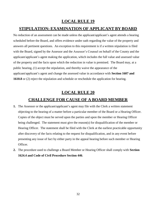## **LOCAL RULE 19**

## **STIPULATION: EXAMINATION OF APPLICANT BY BOARD**

No reduction of an assessment can be made unless the applicant/applicant's agent attends a hearing scheduled before the Board, and offers evidence under oath regarding the value of the property and answers all pertinent questions. An exception to this requirement is if a written stipulation is filed with the Board, signed by the Assessor and the Assessor's Counsel on behalf of the County and the applicant/applicant's agent making the application, which includes the full value and assessed value of the property and the facts upon which the reduction in value is premised. The Board may, at a public hearing, (1) accept the stipulation, and thereby waive the appearance of the applicant/applicant's agent and change the assessed value in accordance with **Section 1607 and 1610.8** or (2) reject the stipulation and schedule or reschedule the application for hearing.

## **LOCAL RULE 20**

## **CHALLENGE FOR CAUSE OF A BOARD MEMBER**

- **1.** The Assessor or the applicant/applicant's agent may file with the Clerk a written statement objecting to the hearing of a matter before a particular member of the Board or a Hearing Officer. Copies of the object must be served upon the parties and upon the member or Hearing Officer being challenged. The statement must give the reason(s) for disqualification of the member or Hearing Officer. The statement shall be filed with the Clerk at the earliest practicable opportunity after discovery of the facts relating to the request for disqualification, and in any event before presenting any issue of fact by either party in the appeal hearing before such member or Hearing Officer.
- **2.** The procedure used to challenge a Board Member or Hearing Officer shall comply with **Section 1624.4 and Code of Civil Procedure Section 446**.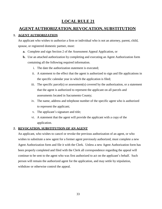## **LOCAL RULE 21**

## **AGENT AUTHORIZATION, REVOCATION, SUBSTITUTION**

#### **1. AGENT AUTHORIZATION**

An applicant who wishes to authorize a firm or individual who is not an attorney, parent, child, spouse, or registered domestic partner, must:

- **a.** Complete and sign Section 2 of the Assessment Appeal Application, or
- **b.** Use an attached authorization by completing and executing an Agent Authorization form containing all the following required information.
	- i. The date the authorization statement is executed;
	- ii. A statement to the effect that the agent is authorized to sign and file applications in the specific calendar year in which the application is filed;
	- iii. The specific parcel(s) or assessment(s) covered by the authorization, or a statement that the agent is authorized to represent the applicant on all parcels and assessments located in Sacramento County;
	- iv. The name, address and telephone number of the specific agent who is authorized to represent the applicant;
	- v. The applicant's signature and title;
	- vi. A statement that the agent will provide the applicant with a copy of the application.

#### **2. REVOCATION, SUBSTITUTION OF AN AGENT**

An applicant, who wishes to cancel or revoke the previous authorization of an agent, or who wishes to substitute a new agent for a former agent previously authorized, must complete a new Agent Authorization form and file it with the Clerk. Unless a new Agent Authorization form has been properly completed and filed with the Clerk all correspondence regarding the appeal will continue to be sent to the agent who was first authorized to act on the applicant's behalf. Such person will remain the authorized agent for the application, and may settle by stipulation, withdraw or otherwise control the appeal.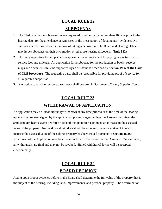# **LOCAL RULE 22 SUBPOENAS**

- **1.** The Clerk shall issue subpoenas, when requested by either party no less than 10 days prior to the hearing date, for the attendance of witnesses or the presentation of documentary evidence. No subpoena can be issued for the purpose of taking a deposition. The Board and Hearing Officer may issue subpoenas on their own motion or other pre-hearing discovery. **(Rule 322)**
- **2.** The party requesting the subpoena is responsible for serving it and for paying any witness fees, service fees and mileage. An application for a subpoena for the production of books, records, maps and documents must be supported by an affidavit as described by **Section 1985 of the Code of Civil Procedure**. The requesting party shall be responsible for providing proof of service for all requested subpoenas.
- **3.** Any action to quash or enforce a subpoena shall be taken in Sacramento County Superior Court.

# **LOCAL RULE 23 WITHDRAWAL OF APPLICATION**

An application may be unconditionally withdrawn at any time prior to or at the time of the hearing upon written request signed by the applicant/applicant's agent, unless the Assessor has given the applicant/applicant's agent a written notice of the intent to recommend an increase in the assessed value of the property. No conditional withdrawal will be accepted. When a notice of intent to increase the assessed value of the subject property has been issued pursuant to **Section 1609.4** withdrawal of the Application may be effected only with the consent of the Assessor. Once effected, all withdrawals are final and may not be revoked. Signed withdrawal forms will be accepted electronically.

# **LOCAL RULE 24 BOARD DECISION**

Acting upon proper evidence before it, the Board shall determine the full value of the property that is the subject of the hearing, including land, improvements, and personal property. The determination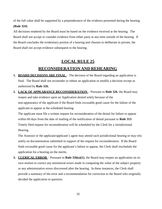of the full value shall be supported by a preponderance of the evidence presented during the hearing.

#### **(Rule 324)**

All decisions rendered by the Board must be based on the evidence received at the hearing. The Board shall not accept or consider evidence from either party at any time outside of the hearing. If the Board concludes the evidentiary portion of a hearing and chooses to deliberate in private, the Board shall not accept evidence subsequent to the hearing.

# **LOCAL RULE 25 RECONSIDERATION AND REHEARING**

- **1. BOARD DECISIONS ARE FINAL** The decision of the Board regarding an application is final. The Board shall not reconsider or rehear an application or modify a decision except as authorized by **Rule 326.**
- **2. LACK OF APPEARANCE RECONSIDERATION** Pursuant to **Rule 326**, the Board may reopen and take evidence upon an Application denied solely because of the non-appearance of the applicant if the Board finds excusable good cause for the failure of the applicant to appear at the scheduled hearing.

The applicant must file a written request for reconsideration of the denial for failure to appear within 60 days from the date of mailing of the notification of denial pursuant to **Rule 313**. Timely filed request for reconsideration will be scheduled by the Clerk for a Jurisdictional Hearing.

The Assessor or the applicant/applicant's agent may attend such jurisdictional hearing or may rely solely on documentation submitted in support of the request for reconsideration. If the Board finds excusable good cause for the applicant's failure to appear, the Clerk shall reschedule the application for a hearing on the merits.

**3. CLERICAL ERROR** – Pursuant to **Rule 326(a)(1)**, the Board may reopen an application on its own motion to correct any ministerial errors made in computing the value of the subject property or any administrative errors discovered after the hearing. In these instances, the Clerk shall provide a summary of the error and a recommendation for correction to the Board who originally decided the application in question.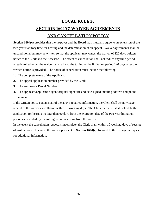# **LOCAL RULE 26 SECTION 1604(C) WAIVER AGREEMENTS AND CANCELLATION POLICY**

**Section 1604(c)** provides that the taxpayer and the Board may mutually agree to an extension of the two-year statutory time for hearing and the determination of an appeal. Waiver agreements shall be unconditional but may be written so that the applicant may cancel the waiver of 120 days written notice to the Clerk and the Assessor. The effect of cancellation shall not reduce any time period already tolled under the waiver but shall end the tolling of the limitation period 120 days after the written notice is provided. The notice of cancellation must include the following:

- **1.** The complete name of the Applicant.
- **2.** The appeal application number provided by the Clerk.
- **3.** The Assessor's Parcel Number.
- **4.** The applicant/applicant's agent original signature and date signed, mailing address and phone number.

If the written notice contains all of the above-required information, the Clerk shall acknowledge receipt of the waiver cancellation within 10 working days. The Clerk thereafter shall schedule the application for hearing no later than 60 days from the expiration date of the two-year limitation period as extended by the tolling period resulting from the waiver.

In the event the cancellation request is incomplete, the Clerk shall, within 10 working days of receipt of written notice to cancel the waiver pursuant to **Section 1604(c)**, forward to the taxpayer a request for additional information.